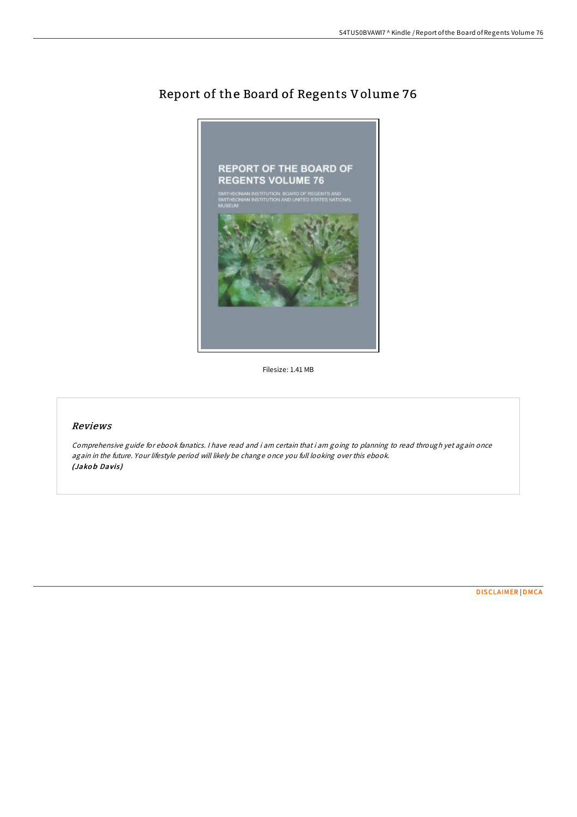

Report of the Board of Regents Volume 76

Filesize: 1.41 MB

## Reviews

Comprehensive guide for ebook fanatics. <sup>I</sup> have read and i am certain that i am going to planning to read through yet again once again in the future. Your lifestyle period will likely be change once you full looking over this ebook. (Jakob Davis)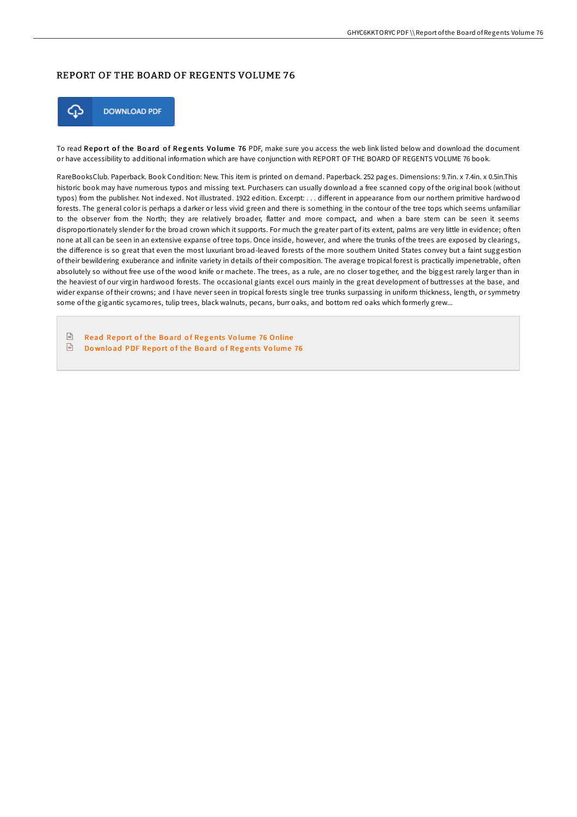## REPORT OF THE BOARD OF REGENTS VOLUME 76



To read Report of the Board of Regents Volume 76 PDF, make sure you access the web link listed below and download the document or have accessibility to additional information which are have conjunction with REPORT OF THE BOARD OF REGENTS VOLUME 76 book.

RareBooksClub. Paperback. Book Condition: New. This item is printed on demand. Paperback. 252 pages. Dimensions: 9.7in. x 7.4in. x 0.5in.This historic book may have numerous typos and missing text. Purchasers can usually download a free scanned copy of the original book (without typos) from the publisher. Not indexed. Not illustrated. 1922 edition. Excerpt: . . . different in appearance from our northern primitive hardwood forests. The general color is perhaps a darker or less vivid green and there is something in the contour of the tree tops which seems unfamiliar to the observer from the North; they are relatively broader, flatter and more compact, and when a bare stem can be seen it seems disproportionately slender for the broad crown which it supports. For much the greater part of its extent, palms are very little in evidence; often none at all can be seen in an extensive expanse of tree tops. Once inside, however, and where the trunks of the trees are exposed by clearings, the difference is so great that even the most luxuriant broad-leaved forests of the more southern United States convey but a faint suggestion of their bewildering exuberance and infinite variety in details of their composition. The average tropical forest is practically impenetrable, often absolutely so without free use of the wood knife or machete. The trees, as a rule, are no closer together, and the biggest rarely larger than in the heaviest of our virgin hardwood forests. The occasional giants excel ours mainly in the great development of buttresses at the base, and wider expanse of their crowns; and I have never seen in tropical forests single tree trunks surpassing in uniform thickness, length, or symmetry some of the gigantic sycamores, tulip trees, black walnuts, pecans, burr oaks, and bottom red oaks which formerly grew...

 $\boxed{\text{ref}}$ Read Report of the Board of Regents Volume 76 [Online](http://almighty24.tech/report-of-the-board-of-regents-volume-76.html)  $\boxed{n}$ Download PDF [Repo](http://almighty24.tech/report-of-the-board-of-regents-volume-76.html)rt of the Board of Regents Volume 76